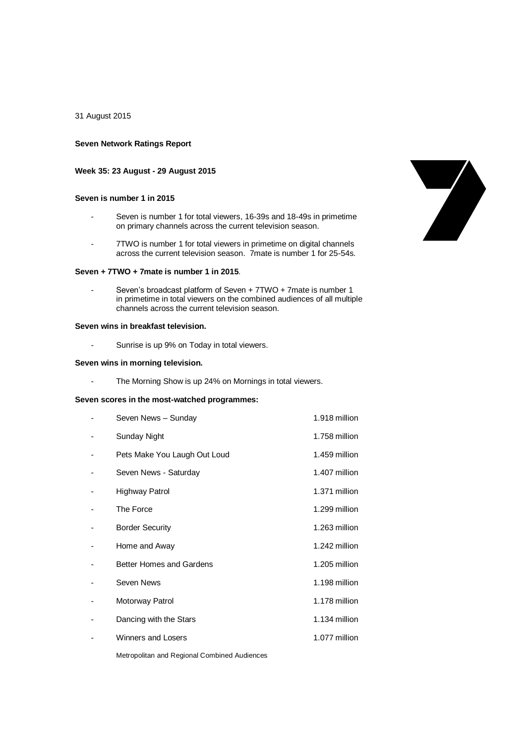31 August 2015

## **Seven Network Ratings Report**

## **Week 35: 23 August - 29 August 2015**

# **Seven is number 1 in 2015**

- Seven is number 1 for total viewers, 16-39s and 18-49s in primetime on primary channels across the current television season.
- 7TWO is number 1 for total viewers in primetime on digital channels across the current television season. 7mate is number 1 for 25-54s.

### **Seven + 7TWO + 7mate is number 1 in 2015**.

Seven's broadcast platform of Seven + 7TWO + 7mate is number 1 in primetime in total viewers on the combined audiences of all multiple channels across the current television season.

# **Seven wins in breakfast television.**

- Sunrise is up 9% on Today in total viewers.

### **Seven wins in morning television.**

- The Morning Show is up 24% on Mornings in total viewers.

#### **Seven scores in the most-watched programmes:**

| Seven News - Sunday             | 1.918 million |
|---------------------------------|---------------|
| Sunday Night                    | 1.758 million |
| Pets Make You Laugh Out Loud    | 1.459 million |
| Seven News - Saturday           | 1.407 million |
| Highway Patrol                  | 1.371 million |
| The Force                       | 1.299 million |
| <b>Border Security</b>          | 1.263 million |
| Home and Away                   | 1.242 million |
| <b>Better Homes and Gardens</b> | 1.205 million |
| Seven News                      | 1.198 million |
| Motorway Patrol                 | 1.178 million |
| Dancing with the Stars          | 1.134 million |
| <b>Winners and Losers</b>       | 1.077 million |

Metropolitan and Regional Combined Audiences

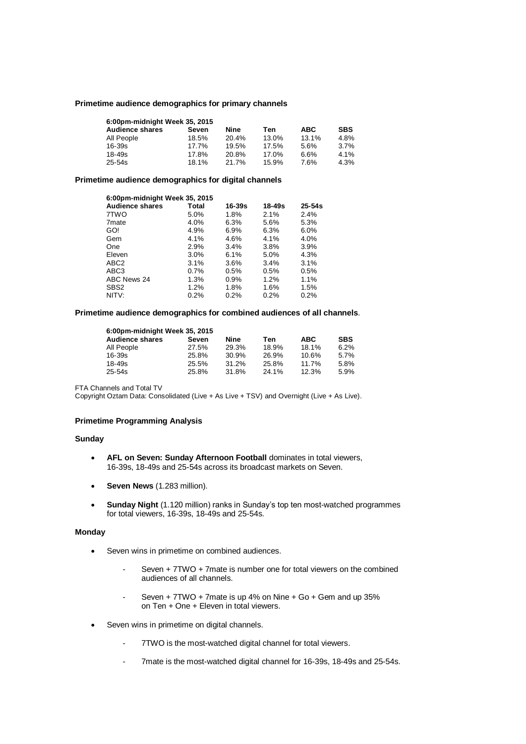## **Primetime audience demographics for primary channels**

| 6:00pm-midnight Week 35, 2015 |       |       |       |            |            |  |
|-------------------------------|-------|-------|-------|------------|------------|--|
| <b>Audience shares</b>        | Seven | Nine  | Ten   | <b>ABC</b> | <b>SBS</b> |  |
| All People                    | 18.5% | 20.4% | 13.0% | 13.1%      | 4.8%       |  |
| $16 - 39s$                    | 17.7% | 19.5% | 17.5% | 5.6%       | 3.7%       |  |
| $18 - 49s$                    | 17.8% | 20.8% | 17.0% | 6.6%       | 4.1%       |  |
| $25 - 54s$                    | 18.1% | 21.7% | 15.9% | 7.6%       | 4.3%       |  |

### **Primetime audience demographics for digital channels**

| 6:00pm-midnight Week 35, 2015 |         |         |         |            |  |
|-------------------------------|---------|---------|---------|------------|--|
| <b>Audience shares</b>        | Total   | 16-39s  | 18-49s  | $25 - 54s$ |  |
| 7TWO                          | 5.0%    | 1.8%    | 2.1%    | 2.4%       |  |
| 7 <sub>mate</sub>             | 4.0%    | 6.3%    | 5.6%    | 5.3%       |  |
| GO!                           | 4.9%    | 6.9%    | 6.3%    | 6.0%       |  |
| Gem                           | 4.1%    | 4.6%    | $4.1\%$ | 4.0%       |  |
| One                           | 2.9%    | 3.4%    | 3.8%    | 3.9%       |  |
| Eleven                        | $3.0\%$ | 6.1%    | 5.0%    | 4.3%       |  |
| ABC <sub>2</sub>              | 3.1%    | 3.6%    | 3.4%    | 3.1%       |  |
| ABC <sub>3</sub>              | $0.7\%$ | 0.5%    | 0.5%    | 0.5%       |  |
| ABC News 24                   | 1.3%    | 0.9%    | 1.2%    | 1.1%       |  |
| SBS <sub>2</sub>              | 1.2%    | 1.8%    | 1.6%    | 1.5%       |  |
| NITV:                         | 0.2%    | $0.2\%$ | 0.2%    | 0.2%       |  |

### **Primetime audience demographics for combined audiences of all channels**.

| 6:00pm-midnight Week 35, 2015 |       |       |       |            |            |  |
|-------------------------------|-------|-------|-------|------------|------------|--|
| <b>Audience shares</b>        | Seven | Nine  | Ten   | <b>ABC</b> | <b>SBS</b> |  |
| All People                    | 27.5% | 29.3% | 18.9% | 18.1%      | 6.2%       |  |
| 16-39s                        | 25.8% | 30.9% | 26.9% | 10.6%      | 5.7%       |  |
| 18-49s                        | 25.5% | 31.2% | 25.8% | 11.7%      | 5.8%       |  |
| 25-54s                        | 25.8% | 31.8% | 24.1% | 12.3%      | 5.9%       |  |

FTA Channels and Total TV

Copyright Oztam Data: Consolidated (Live + As Live + TSV) and Overnight (Live + As Live).

### **Primetime Programming Analysis**

## **Sunday**

- **AFL on Seven: Sunday Afternoon Football** dominates in total viewers, 16-39s, 18-49s and 25-54s across its broadcast markets on Seven.
- **Seven News** (1.283 million).
- **Sunday Night** (1.120 million) ranks in Sunday's top ten most-watched programmes for total viewers, 16-39s, 18-49s and 25-54s.

#### **Monday**

- Seven wins in primetime on combined audiences.
	- Seven + 7TWO + 7mate is number one for total viewers on the combined audiences of all channels.
	- Seven + 7TWO + 7mate is up 4% on Nine + Go + Gem and up 35% on Ten + One + Eleven in total viewers.
- Seven wins in primetime on digital channels.
	- 7TWO is the most-watched digital channel for total viewers.
	- 7mate is the most-watched digital channel for 16-39s, 18-49s and 25-54s.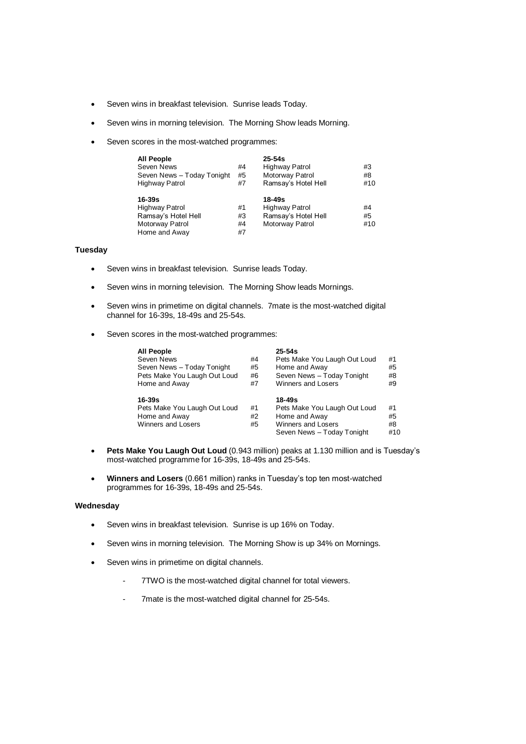- Seven wins in breakfast television. Sunrise leads Today.
- Seven wins in morning television. The Morning Show leads Morning.
- Seven scores in the most-watched programmes:

| <b>All People</b><br>Seven News<br>Seven News - Today Tonight<br>Highway Patrol            | #4<br>#5<br>#7       | $25 - 54s$<br><b>Highway Patrol</b><br>Motorway Patrol<br>Ramsay's Hotel Hell | #3<br>#8<br>#10 |
|--------------------------------------------------------------------------------------------|----------------------|-------------------------------------------------------------------------------|-----------------|
| 16-39s<br><b>Highway Patrol</b><br>Ramsay's Hotel Hell<br>Motorway Patrol<br>Home and Away | #1<br>#3<br>#4<br>#7 | 18-49s<br>Highway Patrol<br>Ramsay's Hotel Hell<br>Motorway Patrol            | #4<br>#5<br>#10 |

# **Tuesday**

- Seven wins in breakfast television. Sunrise leads Today.
- Seven wins in morning television. The Morning Show leads Mornings.
- Seven wins in primetime on digital channels. 7mate is the most-watched digital channel for 16-39s, 18-49s and 25-54s.
- Seven scores in the most-watched programmes:

| <b>All People</b>            |    | $25 - 54s$                   |     |
|------------------------------|----|------------------------------|-----|
| Seven News                   | #4 | Pets Make You Laugh Out Loud | #1  |
| Seven News - Today Tonight   | #5 | Home and Away                | #5  |
| Pets Make You Laugh Out Loud | #6 | Seven News - Today Tonight   | #8  |
| Home and Away                | #7 | <b>Winners and Losers</b>    | #9  |
| 16-39s                       |    | 18-49s                       |     |
| Pets Make You Laugh Out Loud | #1 | Pets Make You Laugh Out Loud | #1  |
| Home and Away                | #2 | Home and Away                | #5  |
| <b>Winners and Losers</b>    | #5 | Winners and Losers           | #8  |
|                              |    | Seven News - Today Tonight   | #10 |

- **Pets Make You Laugh Out Loud** (0.943 million) peaks at 1.130 million and is Tuesday's most-watched programme for 16-39s, 18-49s and 25-54s.
- **Winners and Losers** (0.661 million) ranks in Tuesday's top ten most-watched programmes for 16-39s, 18-49s and 25-54s.

#### **Wednesday**

- Seven wins in breakfast television. Sunrise is up 16% on Today.
- Seven wins in morning television. The Morning Show is up 34% on Mornings.
- Seven wins in primetime on digital channels.
	- 7TWO is the most-watched digital channel for total viewers.
	- 7mate is the most-watched digital channel for 25-54s.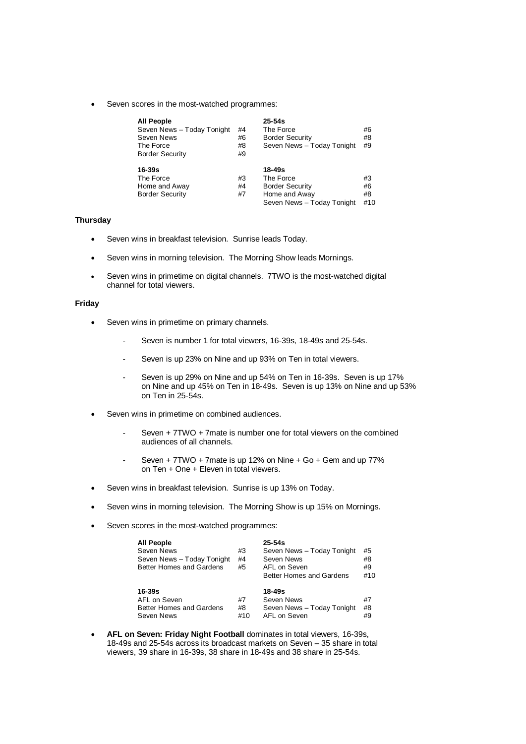Seven scores in the most-watched programmes:

| <b>All People</b>          |    | $25 - 54s$                 |     |
|----------------------------|----|----------------------------|-----|
| Seven News - Today Tonight | #4 | The Force                  | #6  |
| Seven News                 | #6 | <b>Border Security</b>     | #8  |
| The Force                  | #8 | Seven News - Today Tonight | #9  |
| <b>Border Security</b>     | #9 |                            |     |
|                            |    |                            |     |
| $16 - 39s$                 |    | 18-49s                     |     |
| The Force                  | #3 | The Force                  | #3  |
| Home and Away              | #4 | <b>Border Security</b>     | #6  |
| <b>Border Security</b>     | #7 | Home and Away              | #8  |
|                            |    | Seven News - Today Tonight | #10 |

# **Thursday**

- Seven wins in breakfast television. Sunrise leads Today.
- Seven wins in morning television. The Morning Show leads Mornings.
- Seven wins in primetime on digital channels.7TWO is the most-watched digital channel for total viewers.

### **Friday**

- Seven wins in primetime on primary channels.
	- Seven is number 1 for total viewers, 16-39s, 18-49s and 25-54s.
	- Seven is up 23% on Nine and up 93% on Ten in total viewers.
	- Seven is up 29% on Nine and up 54% on Ten in 16-39s. Seven is up 17% on Nine and up 45% on Ten in 18-49s. Seven is up 13% on Nine and up 53% on Ten in 25-54s.
- Seven wins in primetime on combined audiences.
	- Seven + 7TWO + 7mate is number one for total viewers on the combined audiences of all channels.
	- Seven + 7TWO + 7mate is up 12% on Nine + Go + Gem and up 77% on Ten + One + Eleven in total viewers.
- Seven wins in breakfast television. Sunrise is up 13% on Today.
- Seven wins in morning television. The Morning Show is up 15% on Mornings.
- Seven scores in the most-watched programmes:

| <b>All People</b><br>Seven News<br>Seven News - Today Tonight<br>Better Homes and Gardens | #3<br>#4<br>#5  | $25 - 54s$<br>Seven News - Today Tonight<br>Seven News<br>AFL on Seven<br>Better Homes and Gardens | #5<br>#8<br>#9<br>#10 |
|-------------------------------------------------------------------------------------------|-----------------|----------------------------------------------------------------------------------------------------|-----------------------|
| $16 - 39s$<br>AFL on Seven<br>Better Homes and Gardens<br>Seven News                      | #7<br>#8<br>#10 | 18-49s<br>Seven News<br>Seven News - Today Tonight<br>AFL on Seven                                 | #7<br>#8<br>#9        |

 **AFL on Seven: Friday Night Football** dominates in total viewers, 16-39s, 18-49s and 25-54s across its broadcast markets on Seven – 35 share in total viewers, 39 share in 16-39s, 38 share in 18-49s and 38 share in 25-54s.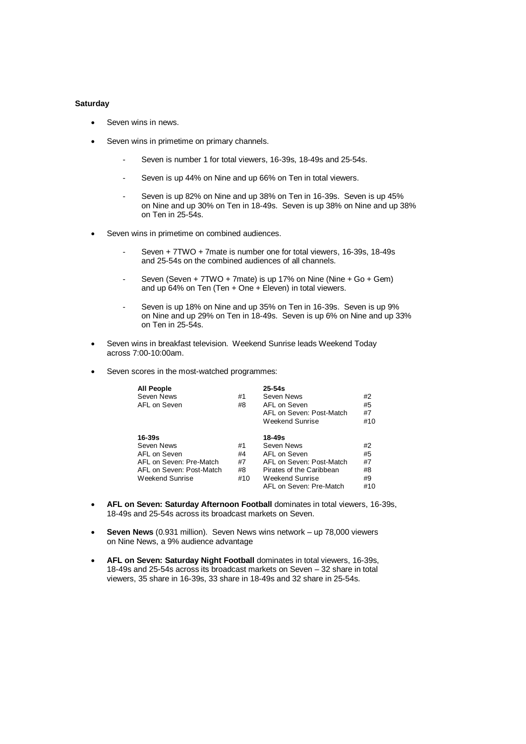# **Saturday**

- Seven wins in news.
- Seven wins in primetime on primary channels.
	- Seven is number 1 for total viewers, 16-39s, 18-49s and 25-54s.
	- Seven is up 44% on Nine and up 66% on Ten in total viewers.
	- Seven is up 82% on Nine and up 38% on Ten in 16-39s. Seven is up 45% on Nine and up 30% on Ten in 18-49s. Seven is up 38% on Nine and up 38% on Ten in 25-54s.
- Seven wins in primetime on combined audiences.
	- Seven + 7TWO + 7mate is number one for total viewers, 16-39s, 18-49s and 25-54s on the combined audiences of all channels.
	- Seven (Seven + 7TWO + 7mate) is up 17% on Nine (Nine + Go + Gem) and up 64% on Ten (Ten  $+$  One  $+$  Eleven) in total viewers.
	- Seven is up 18% on Nine and up 35% on Ten in 16-39s. Seven is up 9% on Nine and up 29% on Ten in 18-49s. Seven is up 6% on Nine and up 33% on Ten in 25-54s.
- Seven wins in breakfast television. Weekend Sunrise leads Weekend Today across 7:00-10:00am.
- Seven scores in the most-watched programmes:

| <b>All People</b><br>Seven News<br>AFL on Seven                                                                    | #1<br>#8                    | $25 - 54s$<br>Seven News<br>AFL on Seven<br>AFL on Seven: Post-Match<br>Weekend Sunrise                                                    | #2<br>#5<br>#7<br>#10             |
|--------------------------------------------------------------------------------------------------------------------|-----------------------------|--------------------------------------------------------------------------------------------------------------------------------------------|-----------------------------------|
| $16 - 39s$<br>Seven News<br>AFL on Seven<br>AFL on Seven: Pre-Match<br>AFL on Seven: Post-Match<br>Weekend Sunrise | #1<br>#4<br>#7<br>#8<br>#10 | 18-49s<br>Seven News<br>AFL on Seven<br>AFL on Seven: Post-Match<br>Pirates of the Caribbean<br>Weekend Sunrise<br>AFL on Seven: Pre-Match | #2<br>#5<br>#7<br>#8<br>#9<br>#10 |

- **AFL on Seven: Saturday Afternoon Football** dominates in total viewers, 16-39s, 18-49s and 25-54s across its broadcast markets on Seven.
- **Seven News** (0.931 million). Seven News wins network up 78,000 viewers on Nine News, a 9% audience advantage
- **AFL on Seven: Saturday Night Football** dominates in total viewers, 16-39s, 18-49s and 25-54s across its broadcast markets on Seven – 32 share in total viewers, 35 share in 16-39s, 33 share in 18-49s and 32 share in 25-54s.